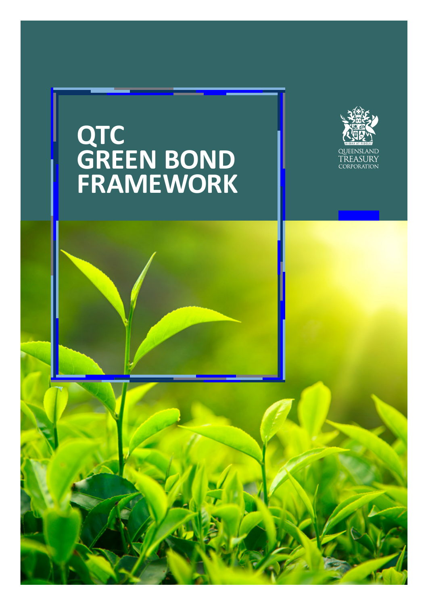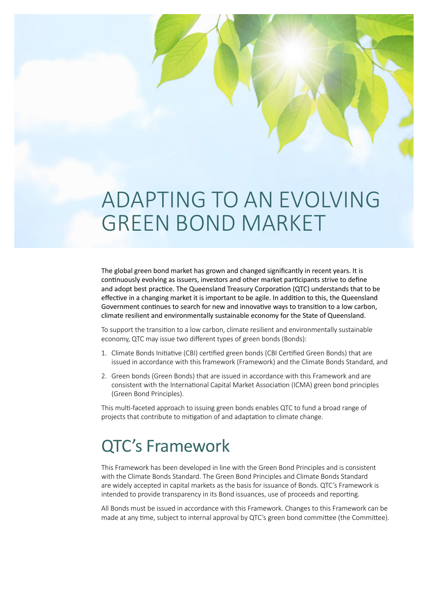# ADAPTING TO AN EVOLVING GREEN BOND MARKET

The global green bond market has grown and changed significantly in recent years. It is continuously evolving as issuers, investors and other market participants strive to define and adopt best practice. The Queensland Treasury Corporation (QTC) understands that to be effective in a changing market it is important to be agile. In addition to this, the Queensland Government continues to search for new and innovative ways to transition to a low carbon, climate resilient and environmentally sustainable economy for the State of Queensland.

To support the transition to a low carbon, climate resilient and environmentally sustainable economy, QTC may issue two different types of green bonds (Bonds):

- 1. Climate Bonds Initiative (CBI) certified green bonds (CBI Certified Green Bonds) that are issued in accordance with this framework (Framework) and the Climate Bonds Standard, and
- 2. Green bonds (Green Bonds) that are issued in accordance with this Framework and are consistent with the International Capital Market Association (ICMA) green bond principles (Green Bond Principles).

This multi-faceted approach to issuing green bonds enables QTC to fund a broad range of projects that contribute to mitigation of and adaptation to climate change.

## QTC's Framework

This Framework has been developed in line with the Green Bond Principles and is consistent with the Climate Bonds Standard. The Green Bond Principles and Climate Bonds Standard are widely accepted in capital markets as the basis for issuance of Bonds. QTC's Framework is intended to provide transparency in its Bond issuances, use of proceeds and reporting.

All Bonds must be issued in accordance with this Framework. Changes to this Framework can be made at any time, subject to internal approval by QTC's green bond committee (the Committee).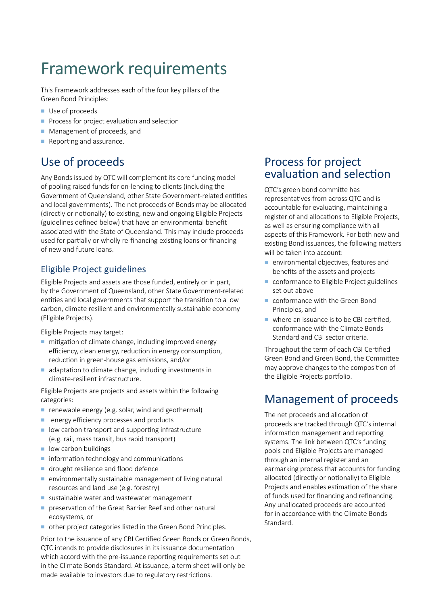## Framework requirements

This Framework addresses each of the four key pillars of the Green Bond Principles:

- Use of proceeds
- **Process for project evaluation and selection**
- Management of proceeds, and
- $\blacksquare$  Reporting and assurance.

## Use of proceeds

Any Bonds issued by QTC will complement its core funding model of pooling raised funds for on-lending to clients (including the Government of Queensland, other State Government-related entities and local governments). The net proceeds of Bonds may be allocated (directly or notionally) to existing, new and ongoing Eligible Projects (guidelines defined below) that have an environmental benefit associated with the State of Queensland. This may include proceeds used for partially or wholly re-financing existing loans or financing of new and future loans.

### Eligible Project guidelines

Eligible Projects and assets are those funded, entirely or in part, by the Government of Queensland, other State Government-related entities and local governments that support the transition to a low carbon, climate resilient and environmentally sustainable economy (Eligible Projects).

Eligible Projects may target:

- $\blacksquare$  mitigation of climate change, including improved energy efficiency, clean energy, reduction in energy consumption, reduction in green-house gas emissions, and/or
- adaptation to climate change, including investments in climate-resilient infrastructure.

Eligible Projects are projects and assets within the following categories:

- n renewable energy (e.g. solar, wind and geothermal)
- **n** energy efficiency processes and products
- $\blacksquare$  low carbon transport and supporting infrastructure (e.g. rail, mass transit, bus rapid transport)
- $\blacksquare$  low carbon buildings
- $\blacksquare$  information technology and communications
- **n** drought resilience and flood defence
- $\blacksquare$  environmentally sustainable management of living natural resources and land use (e.g. forestry)
- sustainable water and wastewater management
- preservation of the Great Barrier Reef and other natural ecosystems, or
- <sup>n</sup> other project categories listed in the Green Bond Principles.

Prior to the issuance of any CBI Certified Green Bonds or Green Bonds, QTC intends to provide disclosures in its issuance documentation which accord with the pre-issuance reporting requirements set out in the Climate Bonds Standard. At issuance, a term sheet will only be made available to investors due to regulatory restrictions.

### Process for project evaluation and selection

QTC's green bond committe has representatives from across QTC and is accountable for evaluating, maintaining a register of and allocations to Eligible Projects, as well as ensuring compliance with all aspects of this Framework. For both new and existing Bond issuances, the following matters will be taken into account:

- $\blacksquare$  environmental objectives, features and benefits of the assets and projects
- conformance to Eligible Project guidelines set out above
- $\blacksquare$  conformance with the Green Bond Principles, and
- $\blacksquare$  where an issuance is to be CBI certified. conformance with the Climate Bonds Standard and CBI sector criteria.

Throughout the term of each CBI Certified Green Bond and Green Bond, the Committee may approve changes to the composition of the Eligible Projects portfolio.

## Management of proceeds

The net proceeds and allocation of proceeds are tracked through QTC's internal information management and reporting systems. The link between QTC's funding pools and Eligible Projects are managed through an internal register and an earmarking process that accounts for funding allocated (directly or notionally) to Eligible Projects and enables estimation of the share of funds used for financing and refinancing. Any unallocated proceeds are accounted for in accordance with the Climate Bonds Standard.